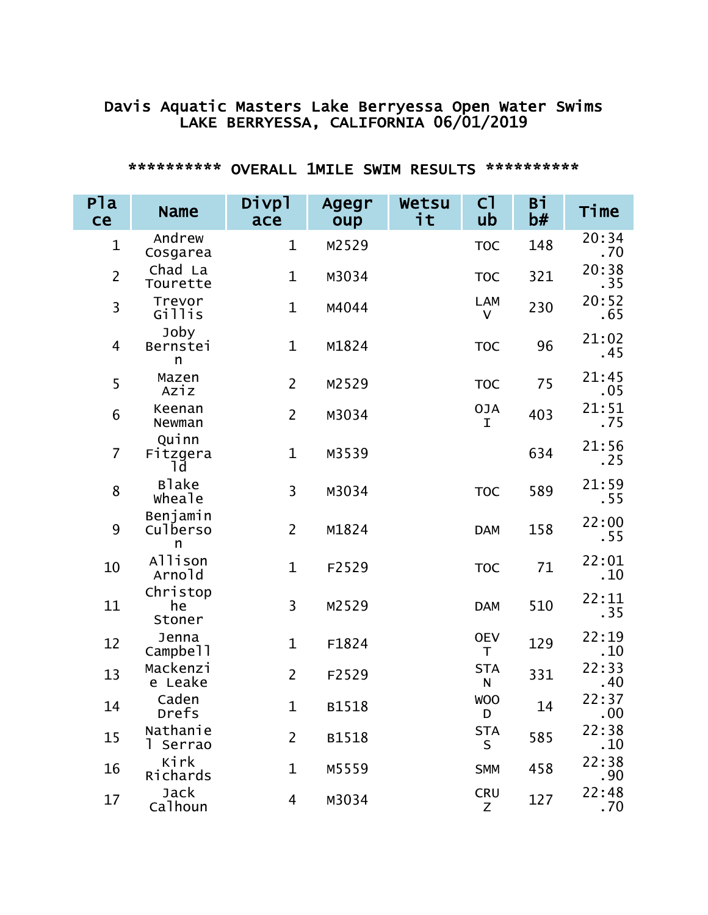# Davis Aquatic Masters Lake Berryessa Open Water Swims<br>LAKE BERRYESSA, CALIFORNIA 06/01/2019

| <b>Pla</b><br>ce | <b>Name</b>               | Divpl<br>ace   | Agegr<br>oup | Wetsu<br>it | C <sub>1</sub><br>ub    | Bi<br>b# | Time          |
|------------------|---------------------------|----------------|--------------|-------------|-------------------------|----------|---------------|
| $\mathbf{1}$     | Andrew<br>Cosgarea        | $\mathbf 1$    | M2529        |             | <b>TOC</b>              | 148      | 20:34<br>.70  |
| $\overline{2}$   | Chad La<br>Tourette       | $\mathbf{1}$   | M3034        |             | <b>TOC</b>              | 321      | 20:38<br>.35  |
| 3                | Trevor<br>Gillis          | $\mathbf{1}$   | M4044        |             | LAM<br>$\mathsf{V}$     | 230      | 20:52<br>.65  |
| 4                | Joby<br>Bernstei<br>n     | $\mathbf{1}$   | M1824        |             | <b>TOC</b>              | 96       | 21:02<br>.45  |
| 5                | Mazen<br>Aziz             | $\overline{2}$ | M2529        |             | <b>TOC</b>              | 75       | 21:45<br>.05  |
| 6                | Keenan<br>Newman          | $\overline{2}$ | M3034        |             | 0JA<br>I                | 403      | 21:51<br>.75  |
| $\overline{7}$   | Quinn<br>Fitzgera<br>1d   | $\mathbf 1$    | M3539        |             |                         | 634      | 21:56<br>.25  |
| 8                | <b>B</b> lake<br>wheale   | 3              | M3034        |             | <b>TOC</b>              | 589      | 21:59<br>. 55 |
| 9                | Benjamin<br>Culberso<br>n | $\overline{2}$ | M1824        |             | <b>DAM</b>              | 158      | 22:00<br>.55  |
| 10               | Allison<br>Arnold         | $\mathbf 1$    | F2529        |             | <b>TOC</b>              | 71       | 22:01<br>.10  |
| 11               | Christop<br>he<br>Stoner  | $\overline{3}$ | M2529        |             | <b>DAM</b>              | 510      | 22:11<br>.35  |
| 12               | Jenna<br>Campbell         | $\mathbf{1}$   | F1824        |             | <b>OEV</b><br>T.        | 129      | 22:19<br>.10  |
| 13               | Mackenzi<br>e Leake       | $\overline{2}$ | F2529        |             | <b>STA</b><br>${\sf N}$ | 331      | 22:33<br>.40  |
| 14               | Caden<br>Drefs            | $\mathbf{1}$   | B1518        |             | <b>WOO</b><br>D         | 14       | 22:37<br>.00  |
| 15               | Nathanie<br>l Serrao      | $\overline{2}$ | B1518        |             | <b>STA</b><br>S.        | 585      | 22:38<br>.10  |
| 16               | Kirk<br>Richards          | $\mathbf 1$    | M5559        |             | <b>SMM</b>              | 458      | 22:38<br>.90  |
| 17               | <b>Jack</b><br>Calhoun    | 4              | M3034        |             | <b>CRU</b><br>Z         | 127      | 22:48<br>.70  |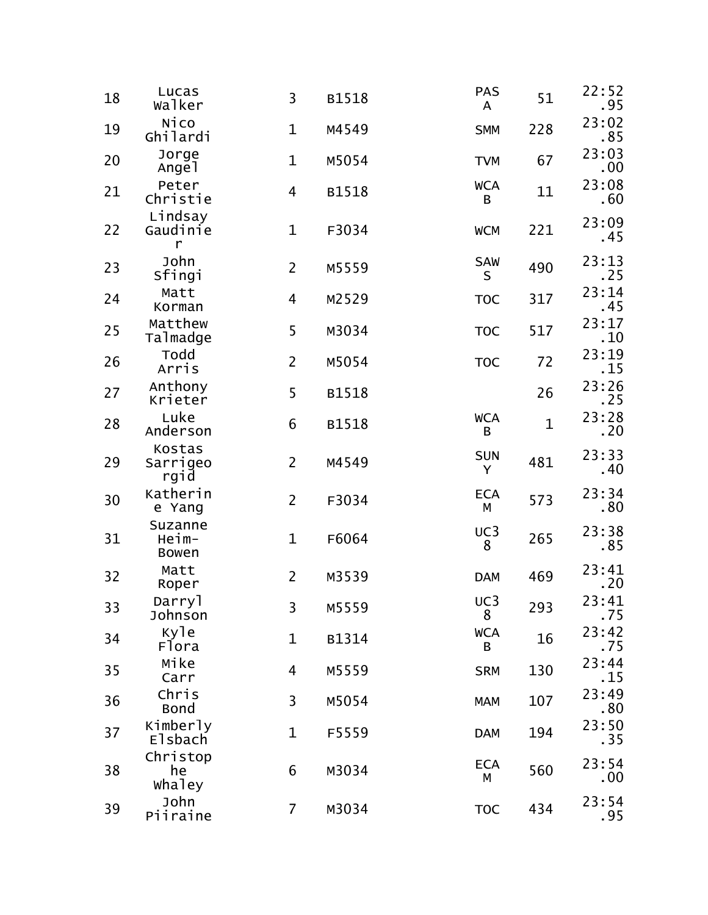| 18 | Lucas<br>walker                  | 3              | B1518 | PAS<br>A        | 51           | 22:52<br>.95      |
|----|----------------------------------|----------------|-------|-----------------|--------------|-------------------|
| 19 | Nico<br>Ghilardi                 | $\mathbf{1}$   | M4549 | <b>SMM</b>      | 228          | 23:02<br>.85      |
| 20 | Jorge<br>Ange1                   | $\mathbf 1$    | M5054 | <b>TVM</b>      | 67           | 23:03<br>.00      |
| 21 | Peter<br>Christie                | 4              | B1518 | <b>WCA</b><br>B | 11           | 23:08<br>.60      |
| 22 | Lindsay<br>Gaudinie<br>r         | $\mathbf 1$    | F3034 | <b>WCM</b>      | 221          | 23:09<br>. 45     |
| 23 | John<br>Sfingi                   | $\overline{2}$ | M5559 | SAW<br>S        | 490          | 23:13<br>.25      |
| 24 | Matt<br>Korman                   | 4              | M2529 | <b>TOC</b>      | 317          | 23:14<br>.45      |
| 25 | Matthew<br>Talmadge              | 5              | M3034 | <b>TOC</b>      | 517          | 23:17<br>.10      |
| 26 | Todd<br>Arris                    | $\overline{2}$ | M5054 | <b>TOC</b>      | 72           | 23:19<br>.15      |
| 27 | Anthony<br>Krieter               | 5              | B1518 |                 | 26           | 23:26<br>.25      |
| 28 | Luke<br>Anderson                 | 6              | B1518 | <b>WCA</b><br>B | $\mathbf{1}$ | 23:28<br>.20      |
| 29 | Kostas<br>Sarrigeo<br>rgid       | $\overline{2}$ | M4549 | <b>SUN</b><br>Y | 481          | 23:33<br>.40      |
| 30 | Katherin<br>e Yang               | $\overline{2}$ | F3034 | <b>ECA</b><br>М | 573          | 23:34<br>.80      |
| 31 | Suzanne<br>Heim-<br><b>Bowen</b> | $\mathbf{1}$   | F6064 | UC3<br>8        | 265          | 23:38<br>.85      |
| 32 | Matt<br>Roper                    | $\overline{2}$ | M3539 | <b>DAM</b>      | 469          | 23:41<br>.20      |
| 33 | Darryl<br>Johnson                | 3              | M5559 | $\frac{UC3}{8}$ | 293          | 23:41<br>.75      |
| 34 | Kyle<br>Flora                    | $\mathbf 1$    | B1314 | <b>WCA</b><br>B | 16           | 23:42<br>.75      |
| 35 | Mike<br>Carr                     | 4              | M5559 | <b>SRM</b>      | 130          | 23:44<br>.15      |
| 36 | Chris<br><b>Bond</b>             | 3              | M5054 | <b>MAM</b>      | 107          | 23:49<br>.80      |
| 37 | Kimberly<br>Elsbach              | $\mathbf{1}$   | F5559 | <b>DAM</b>      | 194          | 23:50<br>. 35     |
| 38 | Christop<br>he<br>whaley         | 6              | M3034 | <b>ECA</b><br>M | 560          | 23:54<br>$.00 \,$ |
| 39 | John<br>Piiraine                 | $\overline{7}$ | M3034 | <b>TOC</b>      | 434          | 23:54<br>.95      |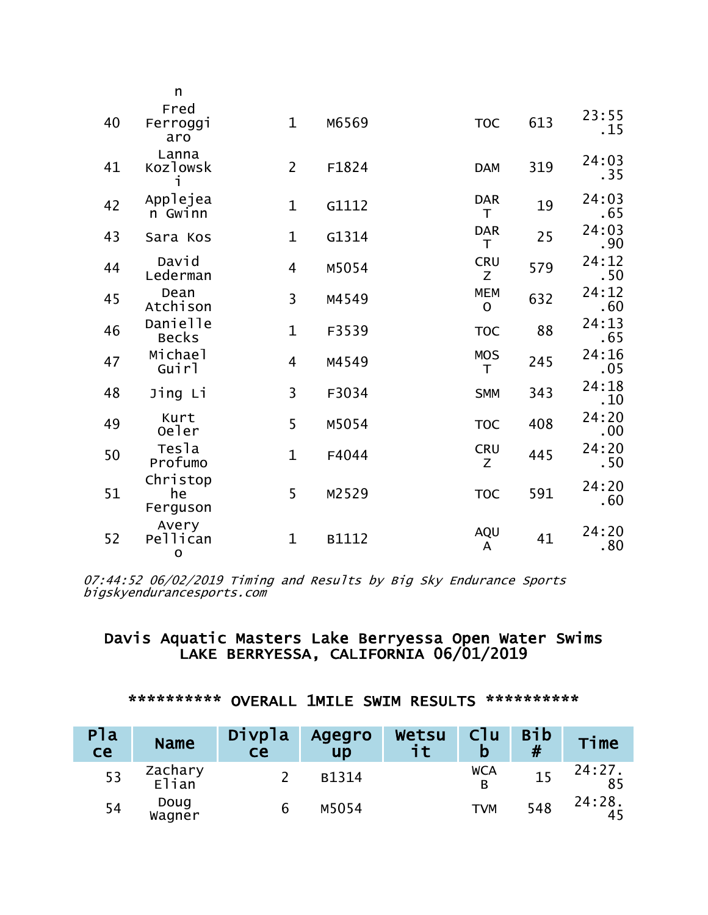|    | n                                |                |       |                            |     |               |
|----|----------------------------------|----------------|-------|----------------------------|-----|---------------|
| 40 | Fred<br>Ferroggi<br>aro          | $\mathbf 1$    | M6569 | <b>TOC</b>                 | 613 | 23:55<br>.15  |
| 41 | Lanna<br>Kozlowsk                | $\overline{2}$ | F1824 | <b>DAM</b>                 | 319 | 24:03<br>. 35 |
| 42 | Applejea<br>n Gwinn              | $\mathbf{1}$   | G1112 | <b>DAR</b><br>$\mathsf{T}$ | 19  | 24:03<br>.65  |
| 43 | Sara Kos                         | 1              | G1314 | <b>DAR</b><br>T.           | 25  | 24:03<br>.90  |
| 44 | David<br>Lederman                | 4              | M5054 | <b>CRU</b><br>Z            | 579 | 24:12<br>.50  |
| 45 | Dean<br>Atchison                 | 3              | M4549 | <b>MEM</b><br>$\Omega$     | 632 | 24:12<br>.60  |
| 46 | Danielle<br><b>Becks</b>         | $\mathbf{1}$   | F3539 | <b>TOC</b>                 | 88  | 24:13<br>.65  |
| 47 | Michael<br>Guirl                 | 4              | M4549 | <b>MOS</b><br>Τ            | 245 | 24:16<br>.05  |
| 48 | Jing Li                          | 3              | F3034 | <b>SMM</b>                 | 343 | 24:18<br>.10  |
| 49 | Kurt<br>Oeler                    | 5              | M5054 | <b>TOC</b>                 | 408 | 24:20<br>.00  |
| 50 | Tesla<br>Profumo                 | $\mathbf{1}$   | F4044 | <b>CRU</b><br>Z            | 445 | 24:20<br>.50  |
| 51 | Christop<br>he<br>Ferguson       | 5              | M2529 | <b>TOC</b>                 | 591 | 24:20<br>.60  |
| 52 | Avery<br>Pellican<br>$\mathbf 0$ | 1              | B1112 | AQU<br>A                   | 41  | 24:20<br>.80  |

## Davis Aquatic Masters Lake Berryessa Open Water Swims<br>LAKE BERRYESSA, CALIFORNIA 06/01/2019

| P <sub>1</sub> a<br>ce | <b>Name</b>      | Divpla<br>ce | Agegro<br>up | Wetsu<br>it | C1u             | <b>Bib</b> | Time         |
|------------------------|------------------|--------------|--------------|-------------|-----------------|------------|--------------|
| 53                     | Zachary<br>Elian |              | B1314        |             | <b>WCA</b><br>в |            | 24:27.<br>85 |
| 54                     | Doug<br>Wagner   | 6            | M5054        |             | <b>TVM</b>      | 548        | 24:28.<br>45 |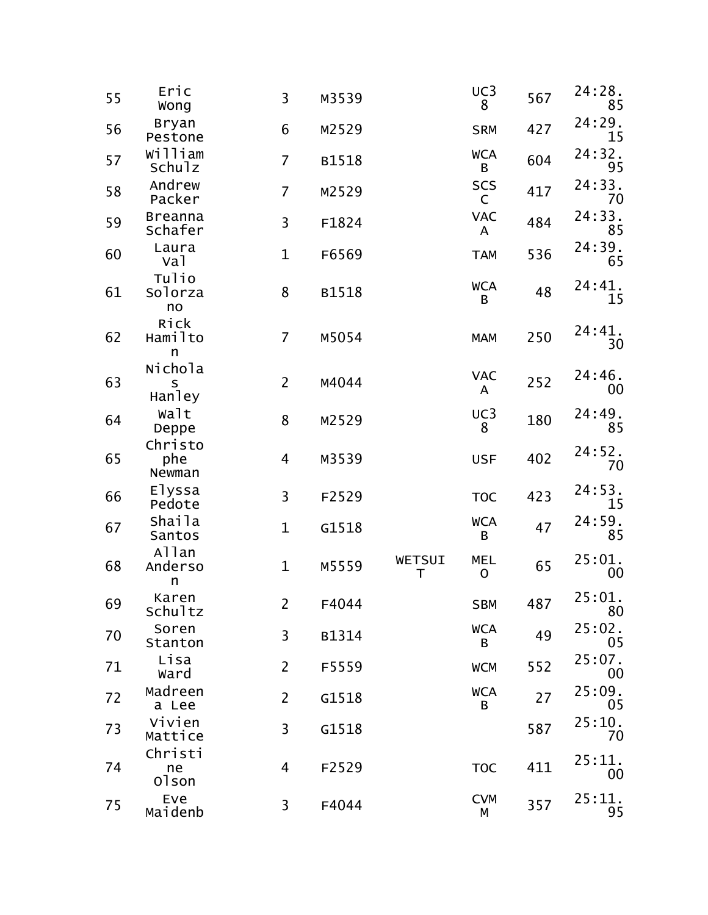| 55 | Eric<br>Wong              | 3              | M3539 |             | UC3<br>8                   | 567 | 24:28.<br>85 |
|----|---------------------------|----------------|-------|-------------|----------------------------|-----|--------------|
| 56 | <b>Bryan</b><br>Pestone   | 6              | M2529 |             | <b>SRM</b>                 | 427 | 24:29.<br>15 |
| 57 | William<br>Schulz         | $\overline{7}$ | B1518 |             | <b>WCA</b><br>B            | 604 | 24:32.<br>95 |
| 58 | Andrew<br>Packer          | $\overline{7}$ | M2529 |             | <b>SCS</b><br>$\mathsf{C}$ | 417 | 24:33.<br>70 |
| 59 | <b>Breanna</b><br>Schafer | 3              | F1824 |             | <b>VAC</b><br>A            | 484 | 24:33.<br>85 |
| 60 | Laura<br>Va <sub>1</sub>  | 1              | F6569 |             | <b>TAM</b>                 | 536 | 24:39.<br>65 |
| 61 | Tulio<br>Solorza<br>no    | 8              | B1518 |             | <b>WCA</b><br>B            | 48  | 24:41.<br>15 |
| 62 | Rick<br>Hamilto<br>n      | 7              | M5054 |             | <b>MAM</b>                 | 250 | 24:41.<br>30 |
| 63 | Nichola<br>S<br>Hanley    | $\overline{2}$ | M4044 |             | <b>VAC</b><br>A            | 252 | 24:46.<br>00 |
| 64 | walt<br>Deppe             | 8              | M2529 |             | UC3<br>8                   | 180 | 24:49.<br>85 |
| 65 | Christo<br>phe<br>Newman  | 4              | M3539 |             | <b>USF</b>                 | 402 | 24:52.<br>70 |
| 66 | Elyssa<br>Pedote          | 3              | F2529 |             | <b>TOC</b>                 | 423 | 24:53.<br>15 |
| 67 | <b>Shaila</b><br>Santos   | $\mathbf 1$    | G1518 |             | <b>WCA</b><br>B            | 47  | 24:59.<br>85 |
| 68 | Allan<br>Anderso<br>n     | 1              | M5559 | WETSUI<br>T | <b>MEL</b><br>$\mathsf{O}$ | 65  | 25:01.<br>00 |
| 69 | Karen<br>Schultz          | $\overline{2}$ | F4044 |             | SBM                        | 487 | 25:01.<br>80 |
| 70 | Soren<br>Stanton          | 3              | B1314 |             | <b>WCA</b><br>B            | 49  | 25:02.<br>05 |
| 71 | Lisa<br>Ward              | $\overline{2}$ | F5559 |             | <b>WCM</b>                 | 552 | 25:07.<br>00 |
| 72 | Madreen<br>a Lee          | $\overline{2}$ | G1518 |             | <b>WCA</b><br>B            | 27  | 25:09.<br>05 |
| 73 | Vivien<br>Mattice         | 3              | G1518 |             |                            | 587 | 25:10.<br>70 |
| 74 | Christi<br>ne<br>01son    | 4              | F2529 |             | <b>TOC</b>                 | 411 | 25:11.<br>00 |
| 75 | Eve<br>Maidenb            | 3              | F4044 |             | <b>CVM</b><br>М            | 357 | 25:11.<br>95 |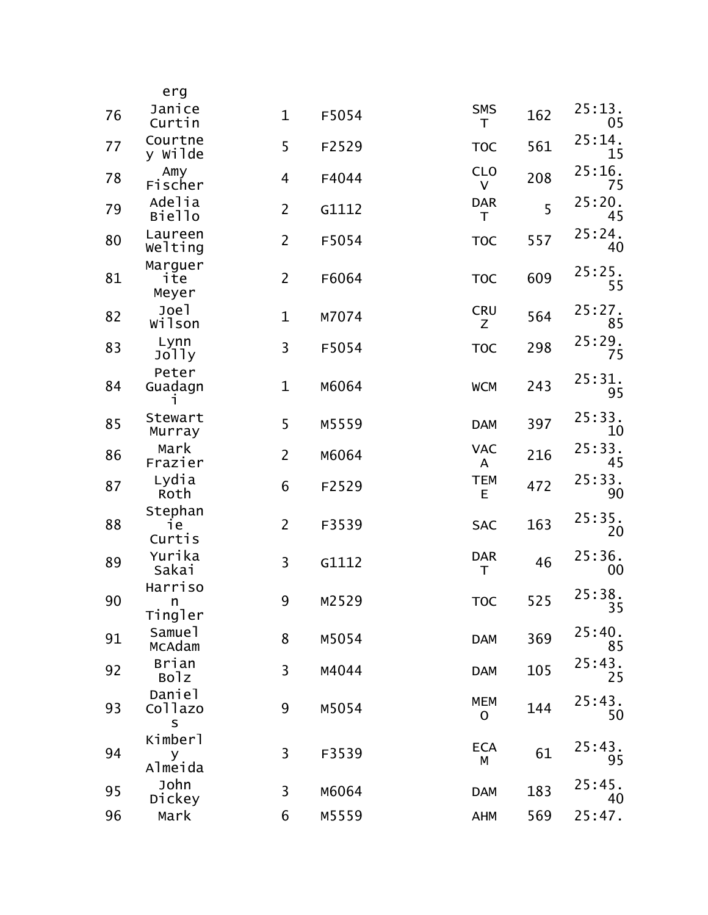|    | erg                      |                |       |                           |     |              |
|----|--------------------------|----------------|-------|---------------------------|-----|--------------|
| 76 | Janice<br>Curtin         | $\mathbf{1}$   | F5054 | <b>SMS</b><br>Τ           | 162 | 25:13.<br>05 |
| 77 | Courtne<br>y wilde       | 5              | F2529 | <b>TOC</b>                | 561 | 25:14.<br>15 |
| 78 | Amy<br>Fischer           | 4              | F4044 | <b>CLO</b><br>V           | 208 | 25:16.<br>75 |
| 79 | Adelia<br>Biello         | $\overline{2}$ | G1112 | <b>DAR</b><br>T           | 5   | 25:20.<br>45 |
| 80 | Laureen<br>Welting       | $\overline{2}$ | F5054 | <b>TOC</b>                | 557 | 25:24.<br>40 |
| 81 | Marguer<br>ite<br>Meyer  | $\overline{2}$ | F6064 | <b>TOC</b>                | 609 | 25:25.<br>55 |
| 82 | Joel<br>Wilson           | 1              | M7074 | <b>CRU</b><br>Ζ           | 564 | 25:27.<br>85 |
| 83 | Lynn<br>Jolly            | 3              | F5054 | <b>TOC</b>                | 298 | 25:29.<br>75 |
| 84 | Peter<br>Guadagn<br>٦    | 1              | M6064 | <b>WCM</b>                | 243 | 25:31.<br>95 |
| 85 | Stewart<br>Murray        | 5              | M5559 | <b>DAM</b>                | 397 | 25:33.<br>10 |
| 86 | Mark<br>Frazier          | $\overline{2}$ | M6064 | <b>VAC</b><br>A           | 216 | 25:33.<br>45 |
| 87 | Lydia<br>Roth            | 6              | F2529 | <b>TEM</b><br>E           | 472 | 25:33.<br>90 |
| 88 | Stephan<br>ı e<br>Curtis | $\overline{2}$ | F3539 | <b>SAC</b>                | 163 | 25:35.<br>20 |
| 89 | Yurika<br>Sakai          | 3              | G1112 | <b>DAR</b><br>Τ           | 46  | 25:36.<br>00 |
| 90 | Harriso<br>n.<br>Tingler | 9              | M2529 | <b>TOC</b>                | 525 | 25:38.<br>35 |
| 91 | Samuel<br>McAdam         | 8              | M5054 | <b>DAM</b>                | 369 | 25:40.<br>85 |
| 92 | Brian<br><b>Bolz</b>     | 3              | M4044 | <b>DAM</b>                | 105 | 25:43.<br>25 |
| 93 | Daniel<br>Collazo<br>S   | 9              | M5054 | <b>MEM</b><br>$\mathbf 0$ | 144 | 25:43.<br>50 |
| 94 | Kimberl<br>y.<br>Almeida | 3              | F3539 | <b>ECA</b><br>М           | 61  | 25:43.<br>95 |
| 95 | John<br>Dickey           | 3              | M6064 | <b>DAM</b>                | 183 | 25:45.<br>40 |
| 96 | Mark                     | 6              | M5559 | <b>AHM</b>                | 569 | 25:47.       |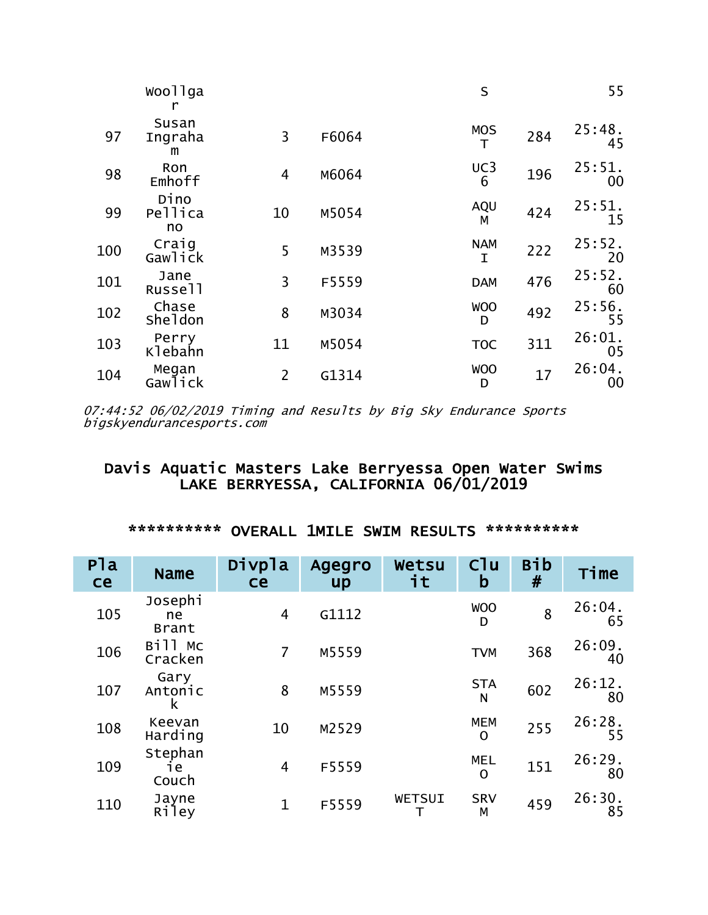|     | woollga<br>r          |                |       | $\mathsf{S}$    |     | 55           |
|-----|-----------------------|----------------|-------|-----------------|-----|--------------|
| 97  | Susan<br>Ingraha<br>m | 3              | F6064 | <b>MOS</b><br>T | 284 | 25:48.<br>45 |
| 98  | Ron<br>Emhoff         | $\overline{4}$ | M6064 | UC3<br>6        | 196 | 25:51.<br>00 |
| 99  | Dino<br>Pellica<br>no | 10             | M5054 | AQU<br>M        | 424 | 25:51.<br>15 |
| 100 | Craig<br>Gawlick      | 5              | M3539 | <b>NAM</b><br>I | 222 | 25:52.<br>20 |
| 101 | Jane<br>Russell       | 3              | F5559 | <b>DAM</b>      | 476 | 25:52.<br>60 |
| 102 | Chase<br>Sheldon      | 8              | M3034 | <b>WOO</b><br>D | 492 | 25:56.<br>55 |
| 103 | Perry<br>Klebahn      | 11             | M5054 | <b>TOC</b>      | 311 | 26:01.<br>05 |
| 104 | Megan<br>Gawlick      | $\overline{2}$ | G1314 | <b>WOO</b><br>D | 17  | 26:04.<br>00 |

# Davis Aquatic Masters Lake Berryessa Open Water Swims<br>LAKE BERRYESSA, CALIFORNIA 06/01/2019

| P <sub>la</sub><br><b>ce</b> | <b>Name</b>                   | Divpla<br><b>ce</b> | Agegro<br>up | Wetsu<br>it | C <sup>1</sup> u<br>b     | <b>Bib</b><br># | Time         |
|------------------------------|-------------------------------|---------------------|--------------|-------------|---------------------------|-----------------|--------------|
| 105                          | Josephi<br>ne<br><b>Brant</b> | 4                   | G1112        |             | <b>WOO</b><br>D           | 8               | 26:04.<br>65 |
| 106                          | Bill Mc<br>Cracken            | $\overline{7}$      | M5559        |             | <b>TVM</b>                | 368             | 26:09.<br>40 |
| 107                          | Gary<br>Antonic<br>k          | 8                   | M5559        |             | <b>STA</b><br>N           | 602             | 26:12.<br>80 |
| 108                          | Keevan<br>Harding             | 10                  | M2529        |             | <b>MEM</b><br>$\mathbf O$ | 255             | 26:28.<br>55 |
| 109                          | Stephan<br>ıе<br>Couch        | $\overline{4}$      | F5559        |             | <b>MEL</b><br>O           | 151             | 26:29.<br>80 |
| 110                          | Jayne<br>Riley                | $\mathbf{1}$        | F5559        | WETSUI      | <b>SRV</b><br>М           | 459             | 26:30.<br>85 |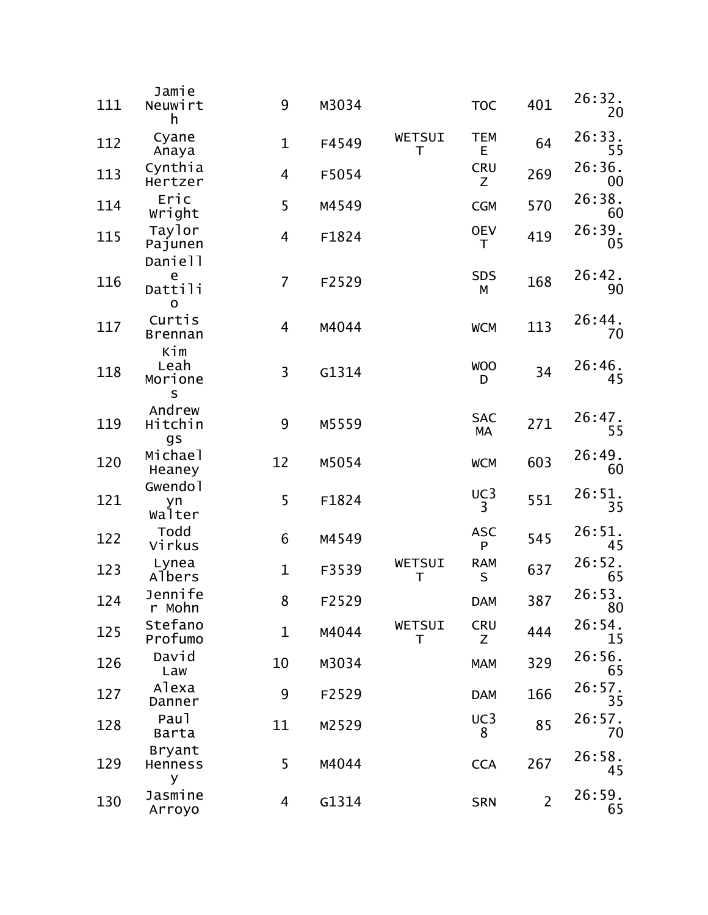| 111 | Jamie<br>Neuwirt<br>h               | 9              | M3034 |             | <b>TOC</b>       | 401            | 26:32.<br>20 |
|-----|-------------------------------------|----------------|-------|-------------|------------------|----------------|--------------|
| 112 | Cyane<br>Anaya                      | $\mathbf 1$    | F4549 | WETSUI<br>Τ | <b>TEM</b><br>E  | 64             | 26:33.<br>55 |
| 113 | Cynthia<br>Hertzer                  | 4              | F5054 |             | <b>CRU</b><br>Z  | 269            | 26:36.<br>00 |
| 114 | Eric<br>Wright                      | 5              | M4549 |             | <b>CGM</b>       | 570            | 26:38.<br>60 |
| 115 | Taylor<br>Pajunen<br>Daniell        | 4              | F1824 |             | <b>OEV</b><br>Т  | 419            | 26:39.<br>05 |
| 116 | e<br>Dattili<br>$\mathbf{o}$        | $\overline{7}$ | F2529 |             | <b>SDS</b><br>M  | 168            | 26:42.<br>90 |
| 117 | Curtis<br><b>Brennan</b>            | 4              | M4044 |             | <b>WCM</b>       | 113            | 26:44.<br>70 |
| 118 | Kim<br>Leah<br>Morione<br>S         | 3              | G1314 |             | <b>WOO</b><br>D  | 34             | 26:46.<br>45 |
| 119 | Andrew<br>Hitchin<br>gs             | 9              | M5559 |             | <b>SAC</b><br>МA | 271            | 26:47.<br>55 |
| 120 | Michael<br>Heaney                   | 12             | M5054 |             | <b>WCM</b>       | 603            | 26:49.<br>60 |
| 121 | Gwendo <sub>1</sub><br>yn<br>Walter | 5              | F1824 |             | UC3<br>3         | 551            | 26:51.<br>35 |
| 122 | Todd<br>Virkus                      | 6              | M4549 |             | <b>ASC</b><br>P  | 545            | 26:51.<br>45 |
| 123 | Lynea<br>Albers                     | 1              | F3539 | WETSUI<br>Т | <b>RAM</b><br>S  | 637            | 26:52.<br>65 |
| 124 | Jennife<br>r Mohn                   | 8              | F2529 |             | <b>DAM</b>       | 387            | 26:53.<br>80 |
| 125 | Stefano<br>Profumo                  | $\mathbf 1$    | M4044 | WETSUI<br>т | <b>CRU</b><br>Ζ  | 444            | 26:54.<br>15 |
| 126 | David<br>Law                        | 10             | M3034 |             | <b>MAM</b>       | 329            | 26:56.<br>65 |
| 127 | Alexa<br>Danner                     | 9              | F2529 |             | <b>DAM</b>       | 166            | 26:57.<br>35 |
| 128 | Pau1<br>Barta                       | 11             | M2529 |             | UC3<br>8         | 85             | 26:57.<br>70 |
| 129 | Bryant<br>Henness<br>У              | 5              | M4044 |             | <b>CCA</b>       | 267            | 26:58.<br>45 |
| 130 | Jasmine<br>Arroyo                   | 4              | G1314 |             | <b>SRN</b>       | $\overline{2}$ | 26:59.<br>65 |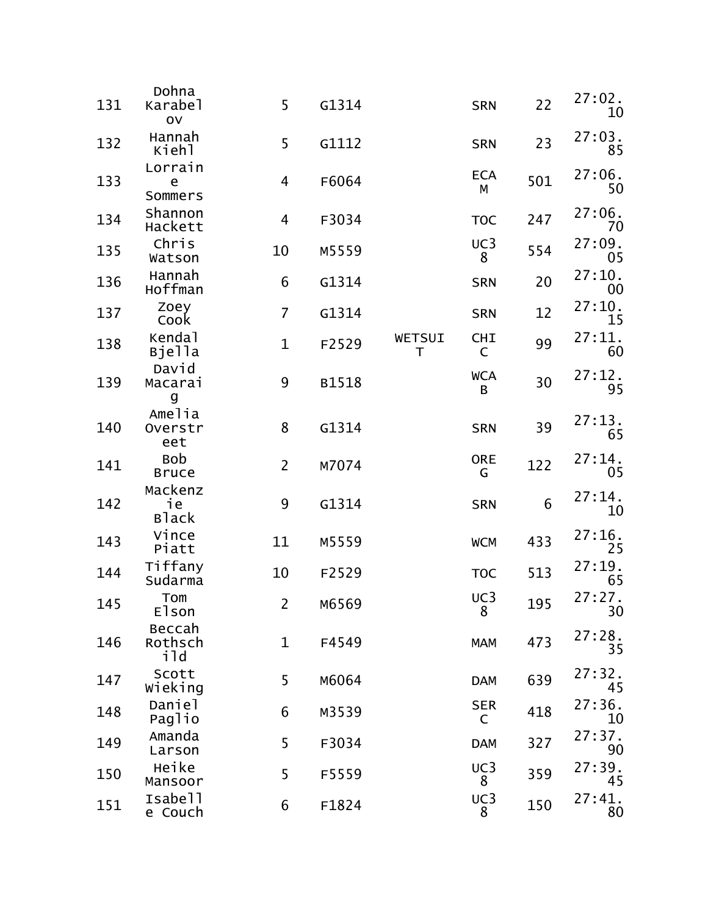| 131 | Dohna<br>Karabe <sub>1</sub><br>OV | 5              | G1314 |             | <b>SRN</b>                 | 22  | 27:02.<br>10 |
|-----|------------------------------------|----------------|-------|-------------|----------------------------|-----|--------------|
| 132 | Hannah<br>Kiehl                    | 5              | G1112 |             | <b>SRN</b>                 | 23  | 27:03.<br>85 |
| 133 | Lorrain<br>e<br>Sommers            | 4              | F6064 |             | <b>ECA</b><br>М            | 501 | 27:06.<br>50 |
| 134 | Shannon<br>Hackett                 | 4              | F3034 |             | <b>TOC</b>                 | 247 | 27:06.<br>70 |
| 135 | Chris<br>Watson                    | 10             | M5559 |             | UC3<br>8                   | 554 | 27:09.<br>05 |
| 136 | Hannah<br>Hoffman                  | 6              | G1314 |             | <b>SRN</b>                 | 20  | 27:10.<br>00 |
| 137 | Zoey<br>Cook                       | $\overline{7}$ | G1314 |             | <b>SRN</b>                 | 12  | 27:10.<br>15 |
| 138 | Kenda <sup>1</sup><br>Bjella       | $\mathbf{1}$   | F2529 | WETSUI<br>T | <b>CHI</b><br>$\mathsf{C}$ | 99  | 27:11.<br>60 |
| 139 | David<br>Macarai<br>g              | 9              | B1518 |             | <b>WCA</b><br>B            | 30  | 27:12.<br>95 |
| 140 | Amelia<br>Overstr<br>eet           | 8              | G1314 |             | <b>SRN</b>                 | 39  | 27:13.<br>65 |
| 141 | <b>Bob</b><br><b>Bruce</b>         | $\overline{2}$ | M7074 |             | <b>ORE</b><br>G            | 122 | 27:14.<br>05 |
| 142 | Mackenz<br>ie<br><b>Black</b>      | 9              | G1314 |             | <b>SRN</b>                 | 6   | 27:14.<br>10 |
| 143 | Vince<br>Piatt                     | 11             | M5559 |             | <b>WCM</b>                 | 433 | 27:16.<br>25 |
| 144 | Tiffany<br>Sudarma                 | 10             | F2529 |             | <b>TOC</b>                 | 513 | 27:19.<br>65 |
| 145 | TOM<br>Elson                       | $\overline{2}$ | M6569 |             | UC3<br>8                   | 195 | 27:27.<br>30 |
| 146 | Beccah<br>Rothsch<br>ild           | $\mathbf{1}$   | F4549 |             | <b>MAM</b>                 | 473 | 27:28.<br>35 |
| 147 | Scott<br>Wieking                   | 5              | M6064 |             | <b>DAM</b>                 | 639 | 27:32.<br>45 |
| 148 | Daniel<br>Paglio                   | 6              | M3539 |             | <b>SER</b><br>$\mathsf{C}$ | 418 | 27:36.<br>10 |
| 149 | Amanda<br>Larson                   | 5              | F3034 |             | <b>DAM</b>                 | 327 | 27:37.<br>90 |
| 150 | Heike<br>Mansoor                   | 5              | F5559 |             | UC3<br>8                   | 359 | 27:39.<br>45 |
| 151 | Isabell<br>e Couch                 | 6              | F1824 |             | UC3<br>8                   | 150 | 27:41.<br>80 |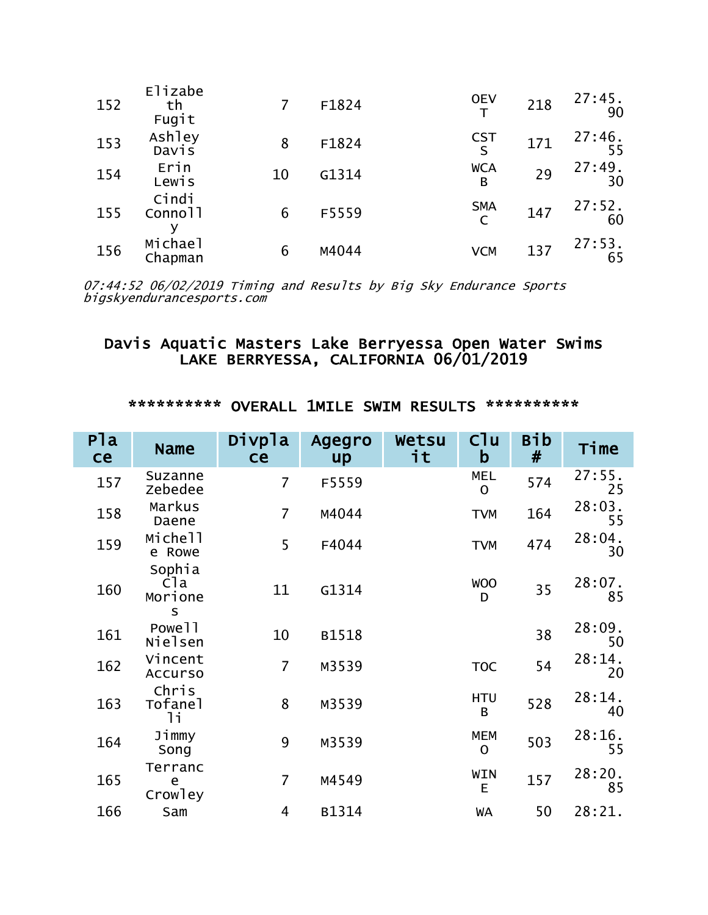| 152 | Elizabe<br>th<br>Fugit |    | F1824 | <b>OEV</b><br>т            | 218 | 27:45.<br>90 |
|-----|------------------------|----|-------|----------------------------|-----|--------------|
| 153 | Ashley<br>Davis        | 8  | F1824 | <b>CST</b><br>S            | 171 | 27:46.<br>55 |
| 154 | Erin<br>Lewis          | 10 | G1314 | <b>WCA</b><br>B            | 29  | 27:49.<br>30 |
| 155 | Cindi<br>Connoll       | 6  | F5559 | <b>SMA</b><br>$\mathsf{C}$ | 147 | 27:52.<br>60 |
| 156 | Michael<br>Chapman     | 6  | M4044 | <b>VCM</b>                 | 137 | 27:53.<br>65 |

## Davis Aquatic Masters Lake Berryessa Open Water Swims<br>LAKE BERRYESSA, CALIFORNIA 06/01/2019

| P <sub>la</sub><br><b>ce</b> | <b>Name</b>                   | Divpla<br><b>ce</b> | Agegro<br>up | Wetsu<br>it | $C1$ u<br>b               | Bib<br># | Time         |
|------------------------------|-------------------------------|---------------------|--------------|-------------|---------------------------|----------|--------------|
| 157                          | Suzanne<br>Zebedee            | $\overline{7}$      | F5559        |             | <b>MEL</b><br>$\mathbf 0$ | 574      | 27:55.<br>25 |
| 158                          | Markus<br>Daene               | $\overline{7}$      | M4044        |             | <b>TVM</b>                | 164      | 28:03.<br>55 |
| 159                          | Michell<br>e Rowe             | 5                   | F4044        |             | <b>TVM</b>                | 474      | 28:04.<br>30 |
| 160                          | Sophia<br>cla<br>Morione<br>S | 11                  | G1314        |             | <b>WOO</b><br>D           | 35       | 28:07.<br>85 |
| 161                          | Powe <sub>11</sub><br>Nielsen | 10                  | B1518        |             |                           | 38       | 28:09.<br>50 |
| 162                          | Vincent<br><b>Accurso</b>     | $\overline{7}$      | M3539        |             | <b>TOC</b>                | 54       | 28:14.<br>20 |
| 163                          | Chris<br>Tofane1<br>li        | 8                   | M3539        |             | <b>HTU</b><br>B           | 528      | 28:14.<br>40 |
| 164                          | Jimmy<br>Song                 | 9                   | M3539        |             | <b>MEM</b><br>$\mathbf 0$ | 503      | 28:16.<br>55 |
| 165                          | Terranc<br>e<br>Crowley       | $\overline{7}$      | M4549        |             | WIN<br>E                  | 157      | 28:20.<br>85 |
| 166                          | Sam                           | 4                   | B1314        |             | WA                        | 50       | 28:21.       |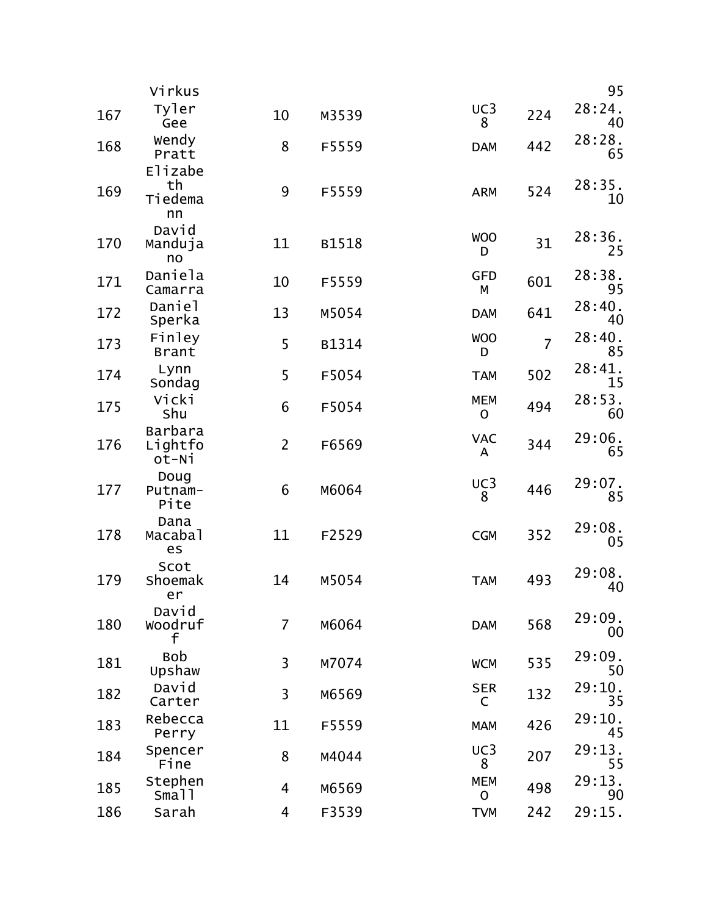|     | Virkus                         |                |       |                            |                | 95           |
|-----|--------------------------------|----------------|-------|----------------------------|----------------|--------------|
| 167 | Tyler<br>Gee                   | 10             | M3539 | UC3<br>8                   | 224            | 28:24.<br>40 |
| 168 | wendy<br>Pratt                 | 8              | F5559 | <b>DAM</b>                 | 442            | 28:28.<br>65 |
| 169 | Elizabe<br>th<br>Tiedema<br>nn | 9              | F5559 | <b>ARM</b>                 | 524            | 28:35.<br>10 |
| 170 | David<br>Manduja<br>no         | 11             | B1518 | <b>WOO</b><br>D            | 31             | 28:36.<br>25 |
| 171 | Daniela<br>Camarra             | 10             | F5559 | <b>GFD</b><br>M            | 601            | 28:38.<br>95 |
| 172 | Daniel<br>Sperka               | 13             | M5054 | <b>DAM</b>                 | 641            | 28:40.<br>40 |
| 173 | Finley<br><b>Brant</b>         | 5              | B1314 | <b>WOO</b><br>D            | $\overline{7}$ | 28:40.<br>85 |
| 174 | Lynn<br>Sondag                 | 5              | F5054 | <b>TAM</b>                 | 502            | 28:41.<br>15 |
| 175 | Vicki<br>Shu                   | 6              | F5054 | <b>MEM</b><br>$\mathbf 0$  | 494            | 28:53.<br>60 |
| 176 | Barbara<br>Lightfo<br>ot-Ni    | $\overline{2}$ | F6569 | <b>VAC</b><br>A            | 344            | 29:06.<br>65 |
| 177 | Doug<br>Putnam-<br>Pite        | 6              | M6064 | UC3<br>8                   | 446            | 29:07.<br>85 |
| 178 | Dana<br>Macabal<br>es          | 11             | F2529 | <b>CGM</b>                 | 352            | 29:08.<br>05 |
| 179 | Scot<br>Shoemak<br>er          | 14             | M5054 | <b>TAM</b>                 | 493            | 29:08.<br>40 |
| 180 | David<br>woodruf<br>f          | $\overline{7}$ | M6064 | <b>DAM</b>                 | 568            | 29:09.<br>00 |
| 181 | <b>Bob</b><br>Upshaw           | $\overline{3}$ | M7074 | <b>WCM</b>                 | 535            | 29:09.<br>50 |
| 182 | David<br>Carter                | $\overline{3}$ | M6569 | <b>SER</b><br>$\mathsf{C}$ | 132            | 29:10.<br>35 |
| 183 | Rebecca<br>Perry               | 11             | F5559 | <b>MAM</b>                 | 426            | 29:10.<br>45 |
| 184 | Spencer<br>Fine                | 8              | M4044 | UC3<br>8                   | 207            | 29:13.<br>55 |
| 185 | Stephen<br>Sma11               | 4              | M6569 | <b>MEM</b><br>$\mathsf{O}$ | 498            | 29:13.<br>90 |
| 186 | Sarah                          | 4              | F3539 | <b>TVM</b>                 | 242            | 29:15.       |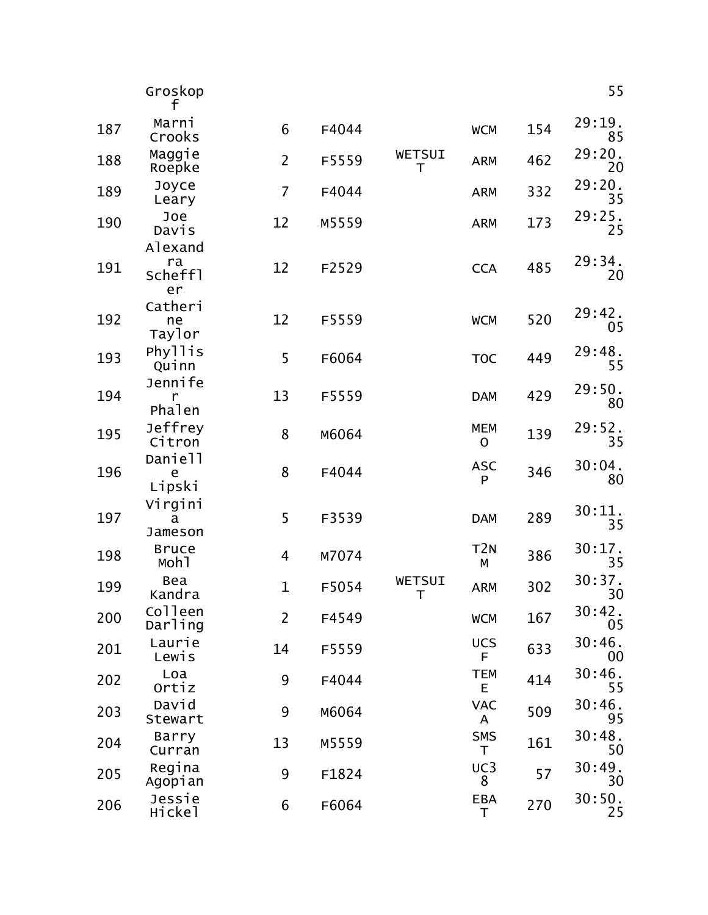|     | Groskop                          |                |       |             |                      |     | 55           |
|-----|----------------------------------|----------------|-------|-------------|----------------------|-----|--------------|
| 187 | Marni<br>Crooks                  | 6              | F4044 |             | <b>WCM</b>           | 154 | 29:19.<br>85 |
| 188 | Maggie<br>Roepke                 | $\overline{2}$ | F5559 | WETSUI<br>Τ | <b>ARM</b>           | 462 | 29:20.<br>20 |
| 189 | Joyce<br>Leary                   | $\overline{7}$ | F4044 |             | <b>ARM</b>           | 332 | 29:20.<br>35 |
| 190 | Joe<br>Davis                     | 12             | M5559 |             | <b>ARM</b>           | 173 | 29:25.<br>25 |
| 191 | Alexand<br>ra                    | 12             | F2529 |             | <b>CCA</b>           | 485 | 29:34.       |
|     | Scheff1<br>er                    |                |       |             |                      |     | 20           |
| 192 | Catheri<br>ne<br>Taylor          | 12             | F5559 |             | <b>WCM</b>           | 520 | 29:42.<br>05 |
| 193 | Phyllis<br>Quinn                 | 5              | F6064 |             | <b>TOC</b>           | 449 | 29:48.<br>55 |
| 194 | Jennife<br>r<br>Phalen           | 13             | F5559 |             | <b>DAM</b>           | 429 | 29:50.<br>80 |
| 195 | Jeffrey<br>Citron                | 8              | M6064 |             | <b>MEM</b><br>O      | 139 | 29:52.<br>35 |
| 196 | Daniell<br>e<br>Lipski           | 8              | F4044 |             | <b>ASC</b><br>P      | 346 | 30:04.<br>80 |
| 197 | Virgini<br>a<br>Jameson          | 5              | F3539 |             | <b>DAM</b>           | 289 | 30:11.<br>35 |
| 198 | <b>Bruce</b><br>Moh <sub>1</sub> | 4              | M7074 |             | T <sub>2N</sub><br>M | 386 | 30:17.<br>35 |
| 199 | Bea<br>Kandra                    | $\mathbf 1$    | F5054 | WETSUI<br>Τ | <b>ARM</b>           | 302 | 30:37.<br>30 |
| 200 | Colleen<br>Darling               | $\overline{2}$ | F4549 |             | <b>WCM</b>           | 167 | 30:42.<br>05 |
| 201 | Laurie<br>Lewis                  | 14             | F5559 |             | <b>UCS</b><br>F.     | 633 | 30:46.<br>00 |
| 202 | Loa<br>Ortiz                     | 9              | F4044 |             | <b>TEM</b><br>E      | 414 | 30:46.<br>55 |
| 203 | David<br>Stewart                 | 9              | M6064 |             | <b>VAC</b><br>A      | 509 | 30:46.<br>95 |
| 204 | Barry<br>Curran                  | 13             | M5559 |             | <b>SMS</b><br>T.     | 161 | 30:48.<br>50 |
| 205 | Regina<br>Agopian                | 9              | F1824 |             | UC3<br>8             | 57  | 30:49.<br>30 |
| 206 | Jessie<br>Hickel                 | 6              | F6064 |             | <b>EBA</b><br>T.     | 270 | 30:50.<br>25 |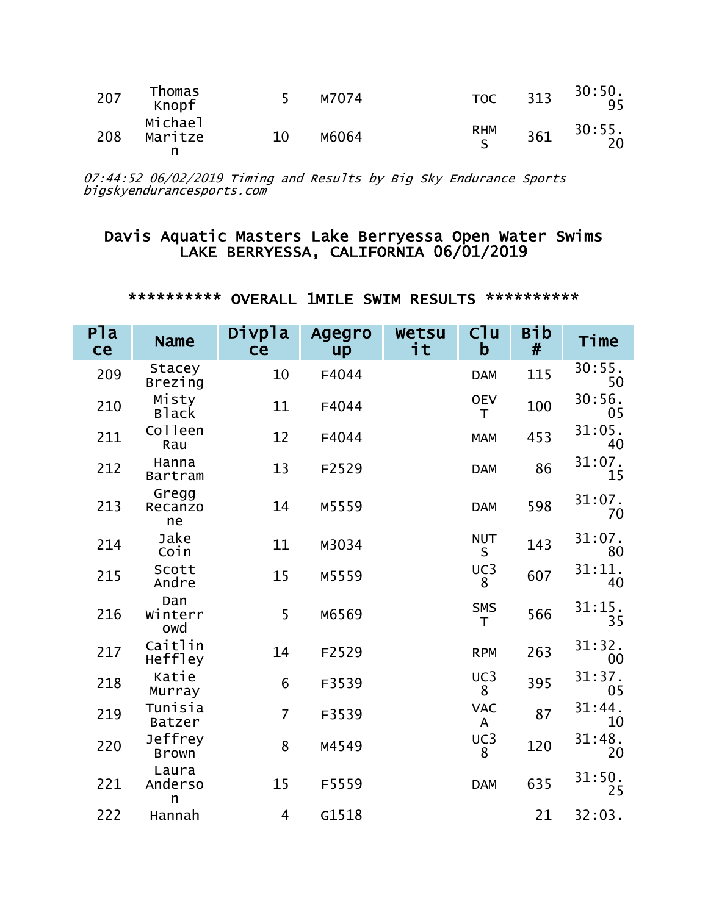| 207 | Thomas<br>Knopf    |    | M7074 | <b>TOC</b> | 313 | 30:50.<br>95 |
|-----|--------------------|----|-------|------------|-----|--------------|
| 208 | Michael<br>Maritze | 10 | M6064 | <b>RHM</b> | 361 | 30:55.<br>20 |

## Davis Aquatic Masters Lake Berryessa Open Water Swims<br>LAKE BERRYESSA, CALIFORNIA 06/01/2019

| P <sub>1</sub> a<br>ce | <b>Name</b>              | Divpla<br>ce   | Agegro<br>up | Wetsu<br>it | C <sup>1</sup> u<br>$\mathbf b$ | <b>Bib</b><br># | Time         |
|------------------------|--------------------------|----------------|--------------|-------------|---------------------------------|-----------------|--------------|
| 209                    | Stacey<br><b>Brezing</b> | 10             | F4044        |             | <b>DAM</b>                      | 115             | 30:55.<br>50 |
| 210                    | Misty<br><b>Black</b>    | 11             | F4044        |             | <b>OEV</b><br>T                 | 100             | 30:56.<br>05 |
| 211                    | Colleen<br>Rau           | 12             | F4044        |             | <b>MAM</b>                      | 453             | 31:05.<br>40 |
| 212                    | Hanna<br><b>Bartram</b>  | 13             | F2529        |             | <b>DAM</b>                      | 86              | 31:07.<br>15 |
| 213                    | Gregg<br>Recanzo<br>ne   | 14             | M5559        |             | <b>DAM</b>                      | 598             | 31:07.<br>70 |
| 214                    | Jake<br>Coin             | 11             | M3034        |             | <b>NUT</b><br>S                 | 143             | 31:07.<br>80 |
| 215                    | Scott<br>Andre           | 15             | M5559        |             | UC3<br>8                        | 607             | 31:11.<br>40 |
| 216                    | Dan<br>Winterr<br>owd    | 5              | M6569        |             | <b>SMS</b><br>T                 | 566             | 31:15.<br>35 |
| 217                    | Caitlin<br>Heffley       | 14             | F2529        |             | <b>RPM</b>                      | 263             | 31:32.<br>00 |
| 218                    | Katie<br>Murray          | 6              | F3539        |             | UC3<br>8                        | 395             | 31:37.<br>05 |
| 219                    | Tunisia<br>Batzer        | $\overline{7}$ | F3539        |             | <b>VAC</b><br>$\mathsf{A}$      | 87              | 31:44.<br>10 |
| 220                    | Jeffrey<br><b>Brown</b>  | 8              | M4549        |             | UC3<br>8                        | 120             | 31:48.<br>20 |
| 221                    | Laura<br>Anderso<br>n    | 15             | F5559        |             | <b>DAM</b>                      | 635             | 31:50.<br>25 |
| 222                    | Hannah                   | 4              | G1518        |             |                                 | 21              | 32:03.       |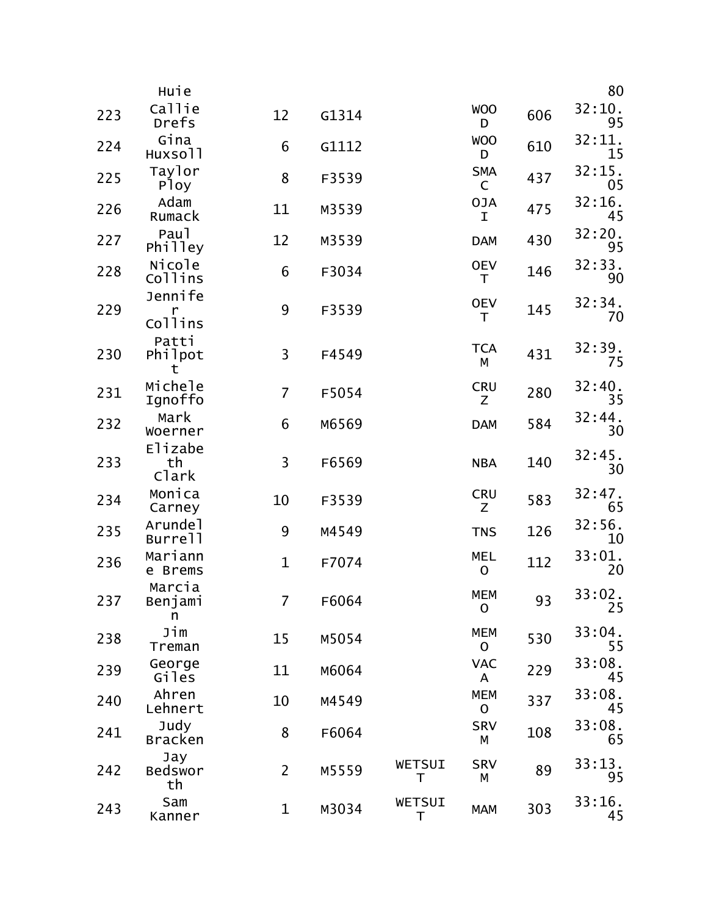|     | Huie                               |                |       |             |                            |     | 80           |
|-----|------------------------------------|----------------|-------|-------------|----------------------------|-----|--------------|
| 223 | Callie<br>Drefs                    | 12             | G1314 |             | <b>WOO</b><br>D            | 606 | 32:10.<br>95 |
| 224 | Gina<br>Huxsoll                    | 6              | G1112 |             | <b>WOO</b><br>D            | 610 | 32:11.<br>15 |
| 225 | Taylor<br>P <sub>l</sub> oy        | 8              | F3539 |             | <b>SMA</b><br>$\mathsf{C}$ | 437 | 32:15.<br>05 |
| 226 | Adam<br>Rumack                     | 11             | M3539 |             | <b>OJA</b><br>I.           | 475 | 32:16.<br>45 |
| 227 | Pau1<br>Philley                    | 12             | M3539 |             | <b>DAM</b>                 | 430 | 32:20.<br>95 |
| 228 | Nicole<br>Collins                  | 6              | F3034 |             | <b>OEV</b><br>T.           | 146 | 32:33.<br>90 |
| 229 | Jennife<br>$\mathsf{r}$<br>Collins | 9              | F3539 |             | <b>OEV</b><br>T            | 145 | 32:34.<br>70 |
| 230 | Patti<br>Philpot<br>t              | 3              | F4549 |             | <b>TCA</b><br>М            | 431 | 32:39.<br>75 |
| 231 | Michele<br>Ignoffo                 | $\overline{7}$ | F5054 |             | <b>CRU</b><br>Z            | 280 | 32:40.<br>35 |
| 232 | Mark<br>Woerner                    | 6              | M6569 |             | <b>DAM</b>                 | 584 | 32:44.<br>30 |
| 233 | <b>Elizabe</b><br>th<br>Clark      | $\overline{3}$ | F6569 |             | <b>NBA</b>                 | 140 | 32:45.<br>30 |
| 234 | Monica<br>Carney                   | 10             | F3539 |             | <b>CRU</b><br>Z            | 583 | 32:47.<br>65 |
| 235 | Arunde <sub>1</sub><br>Burrell     | 9              | M4549 |             | <b>TNS</b>                 | 126 | 32:56.<br>10 |
| 236 | Mariann<br>e Brems                 | $\mathbf 1$    | F7074 |             | <b>MEL</b><br>$\mathbf O$  | 112 | 33:01.<br>20 |
| 237 | Marcia<br>Benjami<br>n             | $\overline{7}$ | F6064 |             | <b>MEM</b><br>$\mathsf O$  | 93  | 33:02.<br>25 |
| 238 | Jim<br>Treman                      | 15             | M5054 |             | <b>MEM</b><br>$\mathbf 0$  | 530 | 33:04.<br>55 |
| 239 | George<br>Giles                    | 11             | M6064 |             | <b>VAC</b><br>A            | 229 | 33:08.<br>45 |
| 240 | Ahren<br>Lehnert                   | 10             | M4549 |             | <b>MEM</b><br>$\mathbf 0$  | 337 | 33:08.<br>45 |
| 241 | Judy<br><b>Bracken</b>             | 8              | F6064 |             | <b>SRV</b><br>М            | 108 | 33:08.<br>65 |
| 242 | Jay<br>Bedswor<br>th               | $\overline{2}$ | M5559 | WETSUI<br>т | <b>SRV</b><br>М            | 89  | 33:13.<br>95 |
| 243 | Sam<br>Kanner                      | $\mathbf 1$    | M3034 | WETSUI<br>T | <b>MAM</b>                 | 303 | 33:16.<br>45 |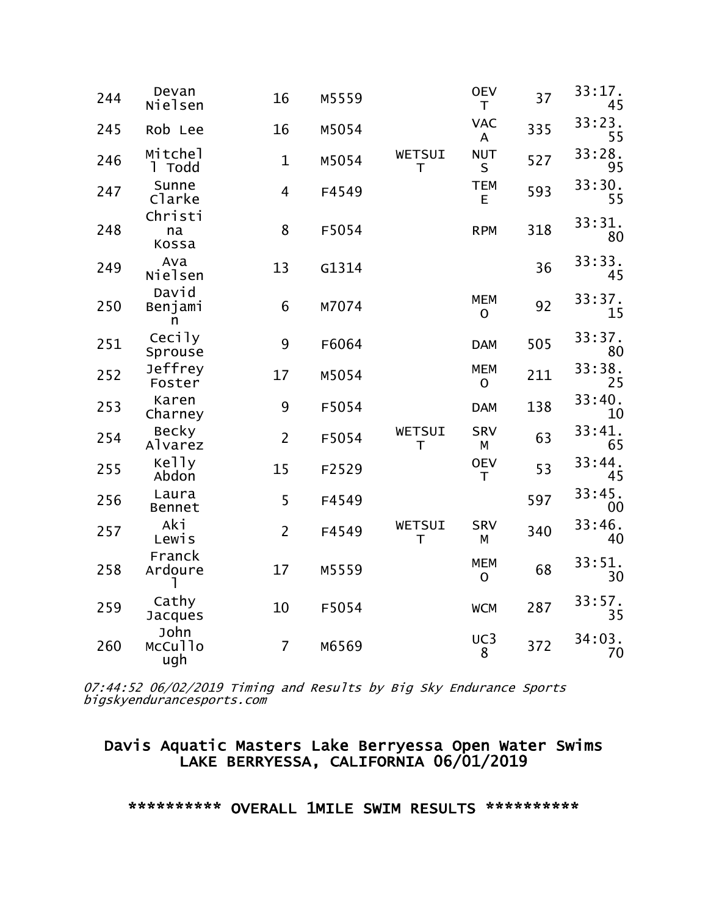| 244 | Devan<br>Nielsen        | 16             | M5559 |                       | <b>OEV</b><br>T.           | 37  | 33:17.<br>45 |
|-----|-------------------------|----------------|-------|-----------------------|----------------------------|-----|--------------|
| 245 | Rob Lee                 | 16             | M5054 |                       | <b>VAC</b><br>$\mathsf{A}$ | 335 | 33:23.<br>55 |
| 246 | Mitchel<br>1 Todd       | $\mathbf{1}$   | M5054 | WETSUI<br>$\mathsf T$ | <b>NUT</b><br>S            | 527 | 33:28.<br>95 |
| 247 | Sunne<br>Clarke         | $\overline{4}$ | F4549 |                       | <b>TEM</b><br>E            | 593 | 33:30.<br>55 |
| 248 | Christi<br>na<br>Kossa  | 8              | F5054 |                       | <b>RPM</b>                 | 318 | 33:31.<br>80 |
| 249 | Ava<br>Nielsen          | 13             | G1314 |                       |                            | 36  | 33:33.<br>45 |
| 250 | David<br>Benjami<br>n   | 6              | M7074 |                       | <b>MEM</b><br>$\mathbf 0$  | 92  | 33:37.<br>15 |
| 251 | Cecily<br>Sprouse       | 9              | F6064 |                       | <b>DAM</b>                 | 505 | 33:37.<br>80 |
| 252 | Jeffrey<br>Foster       | 17             | M5054 |                       | <b>MEM</b><br>$\mathbf 0$  | 211 | 33:38.<br>25 |
| 253 | Karen<br>Charney        | 9              | F5054 |                       | <b>DAM</b>                 | 138 | 33:40.<br>10 |
| 254 | <b>Becky</b><br>Alvarez | $\overline{2}$ | F5054 | WETSUI<br>T           | <b>SRV</b><br>М            | 63  | 33:41.<br>65 |
| 255 | Kelly<br>Abdon          | 15             | F2529 |                       | <b>OEV</b><br>T            | 53  | 33:44.<br>45 |
| 256 | Laura<br>Bennet         | 5              | F4549 |                       |                            | 597 | 33:45.<br>00 |
| 257 | Aki<br>Lewis            | $\overline{2}$ | F4549 | WETSUI<br>T           | <b>SRV</b><br>М            | 340 | 33:46.<br>40 |
| 258 | Franck<br>Ardoure<br>L  | 17             | M5559 |                       | <b>MEM</b><br>$\mathbf O$  | 68  | 33:51.<br>30 |
| 259 | Cathy<br><b>Jacques</b> | 10             | F5054 |                       | <b>WCM</b>                 | 287 | 33:57.<br>35 |
| 260 | John<br>McCullo<br>ugh  | $\overline{7}$ | M6569 |                       | UC3<br>8                   | 372 | 34:03.<br>70 |

#### Davis Aquatic Masters Lake Berryessa Open Water Swims LAKE BERRYESSA, CALIFORNIA 06/01/2019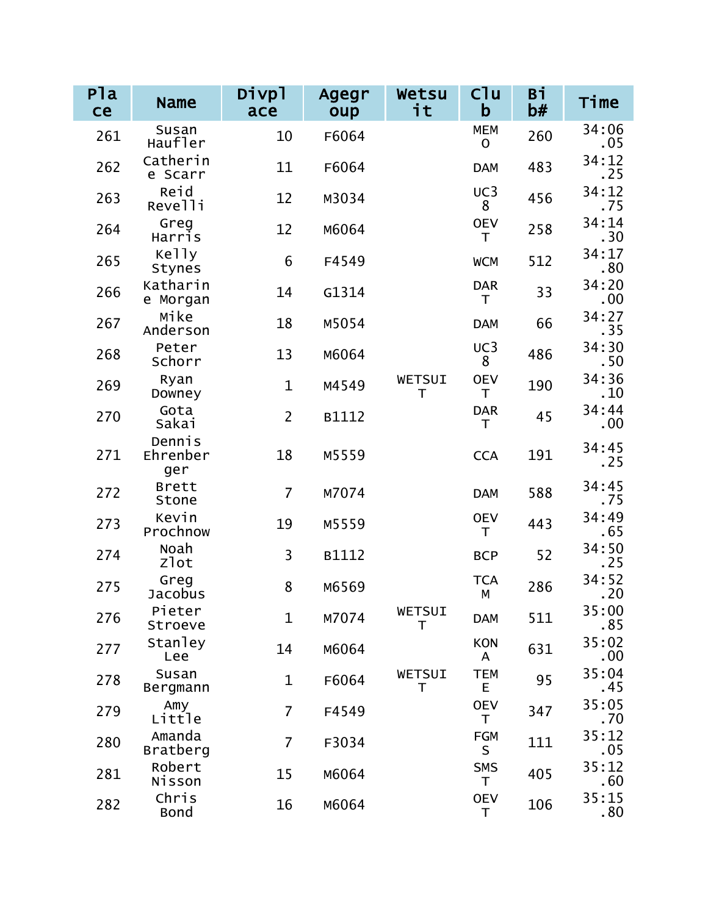| Pla<br>ce | <b>Name</b>               | Divpl<br>ace   | Agegr<br>oup | Wetsu<br>it | Cl <sub>u</sub><br>$\mathbf b$ | Вi<br>b# | Time          |
|-----------|---------------------------|----------------|--------------|-------------|--------------------------------|----------|---------------|
| 261       | Susan<br>Haufler          | 10             | F6064        |             | <b>MEM</b><br>$\mathbf 0$      | 260      | 34:06<br>.05  |
| 262       | Catherin<br>e Scarr       | 11             | F6064        |             | <b>DAM</b>                     | 483      | 34:12<br>.25  |
| 263       | Reid<br>Revelli           | 12             | M3034        |             | UC3<br>8                       | 456      | 34:12<br>.75  |
| 264       | Greg<br>Harris            | 12             | M6064        |             | <b>OEV</b><br>T                | 258      | 34:14<br>.30  |
| 265       | Kelly<br>Stynes           | 6              | F4549        |             | <b>WCM</b>                     | 512      | 34:17<br>.80  |
| 266       | Katharin<br>e Morgan      | 14             | G1314        |             | <b>DAR</b><br>T                | 33       | 34:20<br>.00  |
| 267       | Mike<br>Anderson          | 18             | M5054        |             | <b>DAM</b>                     | 66       | 34:27<br>. 35 |
| 268       | Peter<br>Schorr           | 13             | M6064        |             | UC3<br>8                       | 486      | 34:30<br>. 50 |
| 269       | Ryan<br>Downey            | $\mathbf{1}$   | M4549        | WETSUI<br>T | <b>OEV</b><br>T                | 190      | 34:36<br>.10  |
| 270       | Gota<br>Sakai             | $\overline{2}$ | B1112        |             | <b>DAR</b><br>T                | 45       | 34:44<br>.00  |
| 271       | Dennis<br>Ehrenber<br>ger | 18             | M5559        |             | <b>CCA</b>                     | 191      | 34:45<br>.25  |
| 272       | <b>Brett</b><br>Stone     | $\overline{7}$ | M7074        |             | <b>DAM</b>                     | 588      | 34:45<br>. 75 |
| 273       | Kevin<br>Prochnow         | 19             | M5559        |             | <b>OEV</b><br>T                | 443      | 34:49<br>. 65 |
| 274       | Noah<br>zlot              | 3              | B1112        |             | <b>BCP</b>                     | 52       | 34:50<br>.25  |
| 275       | Greg<br><b>Jacobus</b>    | 8              | M6569        |             | <b>TCA</b><br>М                | 286      | 34:52<br>.20  |
| 276       | Pieter<br>Stroeve         | $\mathbf{1}$   | M7074        | WETSUI<br>T | <b>DAM</b>                     | 511      | 35:00<br>. 85 |
| 277       | Stanley<br>Lee            | 14             | M6064        |             | <b>KON</b><br>A                | 631      | 35:02<br>.00  |
| 278       | Susan<br>Bergmann         | $\mathbf{1}$   | F6064        | WETSUI<br>T | <b>TEM</b><br>E                | 95       | 35:04<br>. 45 |
| 279       | Amy<br>Little             | $\overline{7}$ | F4549        |             | <b>OEV</b><br>T                | 347      | 35:05<br>. 70 |
| 280       | Amanda<br>Bratberg        | $\overline{7}$ | F3034        |             | <b>FGM</b><br>S                | 111      | 35:12<br>.05  |
| 281       | Robert<br>Nisson          | 15             | M6064        |             | <b>SMS</b><br>T.               | 405      | 35:12<br>.60  |
| 282       | Chris<br><b>Bond</b>      | 16             | M6064        |             | <b>OEV</b><br>T                | 106      | 35:15<br>.80  |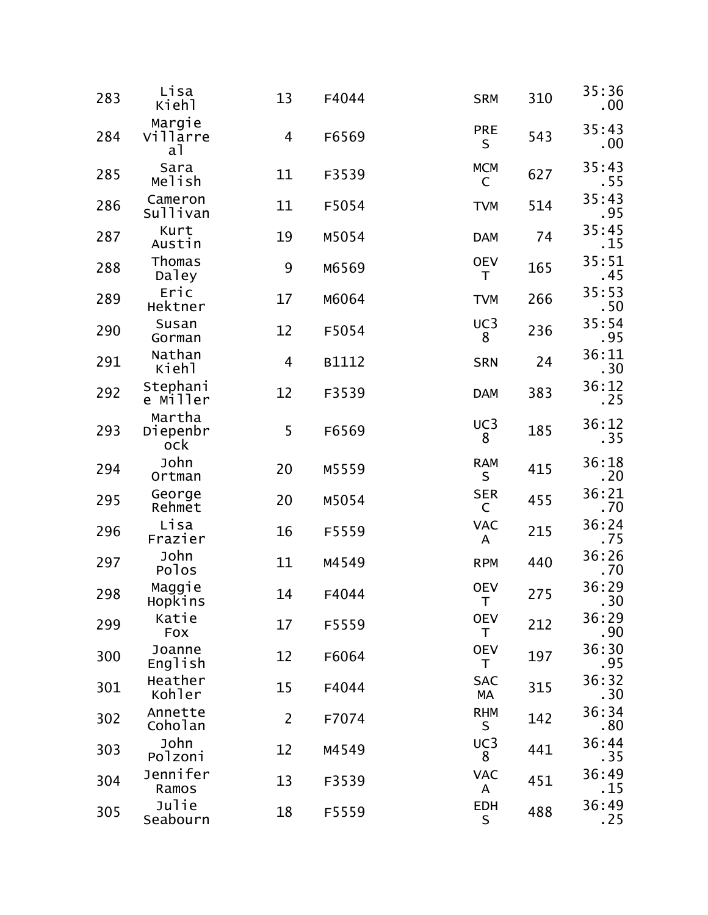| 283 | Lisa<br>Kiehl             | 13             | F4044 | <b>SRM</b>                 | 310 | 35:36<br>$.00 \,$ |
|-----|---------------------------|----------------|-------|----------------------------|-----|-------------------|
| 284 | Margie<br>Villarre<br>a1  | 4              | F6569 | <b>PRE</b><br>S            | 543 | 35:43<br>.00      |
| 285 | Sara<br>Melish            | 11             | F3539 | <b>MCM</b><br>C            | 627 | 35:43<br>. 55     |
| 286 | Cameron<br>Sullivan       | 11             | F5054 | <b>TVM</b>                 | 514 | 35:43<br>.95      |
| 287 | Kurt<br>Austin            | 19             | M5054 | <b>DAM</b>                 | 74  | 35:45<br>. 15     |
| 288 | Thomas<br>Daley           | 9              | M6569 | <b>OEV</b><br>T.           | 165 | 35:51<br>. 45     |
| 289 | Eric<br>Hektner           | 17             | M6064 | <b>TVM</b>                 | 266 | 35:53<br>.50      |
| 290 | Susan<br>Gorman           | 12             | F5054 | UC3<br>8                   | 236 | 35:54<br>.95      |
| 291 | Nathan<br>Kiehl           | $\overline{4}$ | B1112 | <b>SRN</b>                 | 24  | 36:11<br>. 30     |
| 292 | Stephani<br>e Miller      | 12             | F3539 | <b>DAM</b>                 | 383 | 36:12<br>.25      |
| 293 | Martha<br>Diepenbr<br>ock | 5              | F6569 | UC3<br>8                   | 185 | 36:12<br>. 35     |
| 294 | John<br>Ortman            | 20             | M5559 | <b>RAM</b><br>$\mathsf S$  | 415 | 36:18<br>.20      |
| 295 | George<br>Rehmet          | 20             | M5054 | <b>SER</b><br>$\mathsf{C}$ | 455 | 36:21<br>.70      |
| 296 | Lisa<br>Frazier           | 16             | F5559 | <b>VAC</b><br>A            | 215 | 36:24<br>.75      |
| 297 | John<br>Polos             | 11             | M4549 | <b>RPM</b>                 | 440 | 36:26<br>.70      |
| 298 | Maggie<br>Hopkins         | 14             | F4044 | <b>OEV</b><br>$\mathsf T$  | 275 | 36:29<br>.30      |
| 299 | Katie<br><b>Fox</b>       | 17             | F5559 | <b>OEV</b><br>T            | 212 | 36:29<br>. 90     |
| 300 | Joanne<br>English         | 12             | F6064 | <b>OEV</b><br>T.           | 197 | 36:30<br>.95      |
| 301 | Heather<br>Kohler         | 15             | F4044 | <b>SAC</b><br>MA           | 315 | 36:32<br>. 30     |
| 302 | Annette<br>Coholan        | $\overline{2}$ | F7074 | <b>RHM</b><br>S            | 142 | 36:34<br>.80      |
| 303 | John<br>Polzoni           | 12             | M4549 | UC3<br>8                   | 441 | 36:44<br>. 35     |
| 304 | Jennifer<br>Ramos         | 13             | F3539 | <b>VAC</b><br>A            | 451 | 36:49<br>. 15     |
| 305 | Julie<br>Seabourn         | 18             | F5559 | <b>EDH</b><br>$\sf S$      | 488 | 36:49<br>.25      |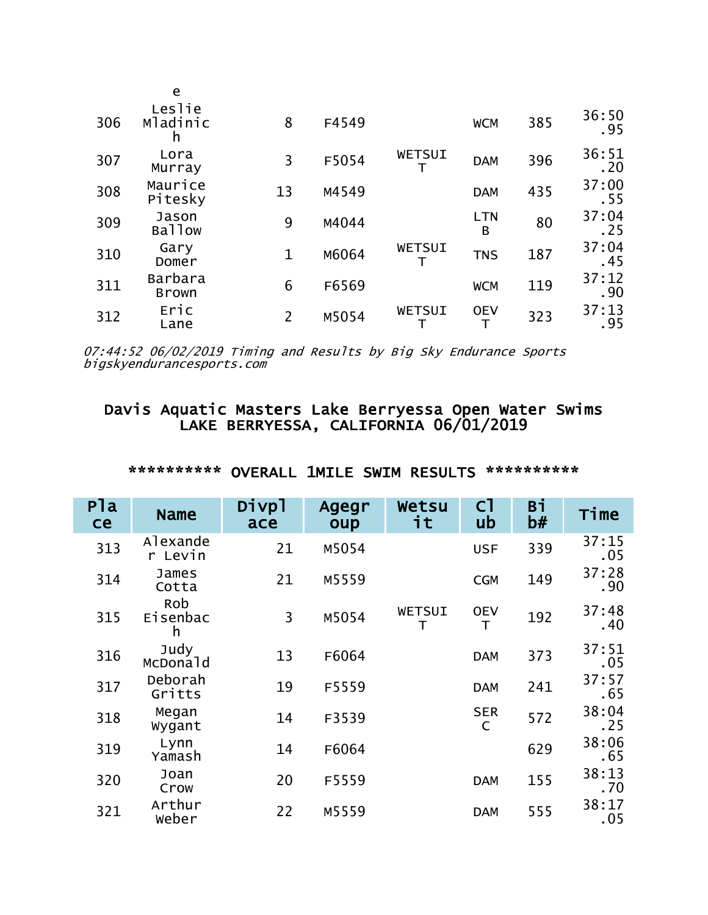|     | e                       |                |       |               |                 |     |               |
|-----|-------------------------|----------------|-------|---------------|-----------------|-----|---------------|
| 306 | Leslie<br>Mladinic<br>h | 8              | F4549 |               | <b>WCM</b>      | 385 | 36:50<br>.95  |
| 307 | Lora<br>Murray          | 3              | F5054 | <b>WETSUI</b> | <b>DAM</b>      | 396 | 36:51<br>.20  |
| 308 | Maurice<br>Pitesky      | 13             | M4549 |               | <b>DAM</b>      | 435 | 37:00<br>. 55 |
| 309 | Jason<br>Ballow         | 9              | M4044 |               | <b>LTN</b><br>B | 80  | 37:04<br>.25  |
| 310 | Gary<br>Domer           | 1              | M6064 | WETSUI        | <b>TNS</b>      | 187 | 37:04<br>.45  |
| 311 | Barbara<br><b>Brown</b> | 6              | F6569 |               | <b>WCM</b>      | 119 | 37:12<br>.90  |
| 312 | Eric<br>Lane            | $\overline{2}$ | M5054 | WETSUI        | <b>OEV</b>      | 323 | 37:13<br>.95  |

## Davis Aquatic Masters Lake Berryessa Open Water Swims<br>LAKE BERRYESSA, CALIFORNIA 06/01/2019

| P <sub>1</sub> a<br>ce | <b>Name</b>          | Divpl<br>ace | Agegr<br>oup | Wetsu<br>it | C <sub>1</sub><br>ub       | Bi<br>b# | Time         |
|------------------------|----------------------|--------------|--------------|-------------|----------------------------|----------|--------------|
| 313                    | Alexande<br>r Levin  | 21           | M5054        |             | <b>USF</b>                 | 339      | 37:15<br>.05 |
| 314                    | James<br>Cotta       | 21           | M5559        |             | <b>CGM</b>                 | 149      | 37:28<br>.90 |
| 315                    | Rob<br>Eisenbac<br>h | 3            | M5054        | WETSUI<br>T | <b>OEV</b><br>т            | 192      | 37:48<br>.40 |
| 316                    | Judy<br>McDonald     | 13           | F6064        |             | <b>DAM</b>                 | 373      | 37:51<br>.05 |
| 317                    | Deborah<br>Gritts    | 19           | F5559        |             | <b>DAM</b>                 | 241      | 37:57<br>.65 |
| 318                    | Megan<br>Wygant      | 14           | F3539        |             | <b>SER</b><br>$\mathsf{C}$ | 572      | 38:04<br>.25 |
| 319                    | Lynn<br>Yamash       | 14           | F6064        |             |                            | 629      | 38:06<br>.65 |
| 320                    | Joan<br>Crow         | 20           | F5559        |             | <b>DAM</b>                 | 155      | 38:13<br>.70 |
| 321                    | Arthur<br>Weber      | 22           | M5559        |             | <b>DAM</b>                 | 555      | 38:17<br>.05 |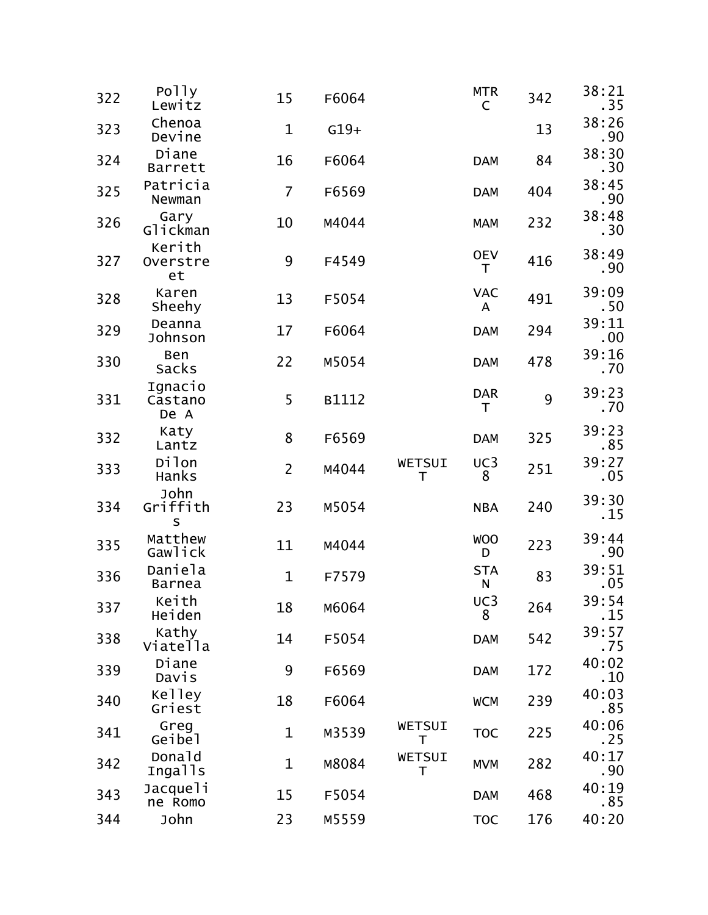| 322 | Polly<br>Lewitz            | 15             | F6064  |             | <b>MTR</b><br>C         | 342 | 38:21<br>. 35     |
|-----|----------------------------|----------------|--------|-------------|-------------------------|-----|-------------------|
| 323 | Chenoa<br>Devine           | $\mathbf{1}$   | $G19+$ |             |                         | 13  | 38:26<br>.90      |
| 324 | Diane<br>Barrett           | 16             | F6064  |             | <b>DAM</b>              | 84  | 38:30<br>.30      |
| 325 | Patricia<br>Newman         | $\overline{7}$ | F6569  |             | <b>DAM</b>              | 404 | 38:45<br>.90      |
| 326 | Gary<br>Glickman           | 10             | M4044  |             | <b>MAM</b>              | 232 | 38:48<br>.30      |
| 327 | Kerith<br>Overstre<br>et   | 9              | F4549  |             | <b>OEV</b><br>T         | 416 | 38:49<br>.90      |
| 328 | Karen<br>Sheehy            | 13             | F5054  |             | <b>VAC</b><br>A         | 491 | 39:09<br>.50      |
| 329 | Deanna<br>Johnson          | 17             | F6064  |             | <b>DAM</b>              | 294 | 39:11<br>$.00 \,$ |
| 330 | Ben<br>Sacks               | 22             | M5054  |             | <b>DAM</b>              | 478 | 39:16<br>.70      |
| 331 | Ignacio<br>Castano<br>De A | 5              | B1112  |             | <b>DAR</b><br>$\top$    | 9   | 39:23<br>.70      |
| 332 | Katy<br>Lantz              | 8              | F6569  |             | <b>DAM</b>              | 325 | 39:23<br>.85      |
| 333 | Dilon<br>Hanks             | $\overline{2}$ | M4044  | WETSUI<br>T | UC3<br>8                | 251 | 39:27<br>.05      |
| 334 | John<br>Griffith<br>S      | 23             | M5054  |             | <b>NBA</b>              | 240 | 39:30<br>.15      |
| 335 | Matthew<br>Gawlick         | 11             | M4044  |             | <b>WOO</b><br>D         | 223 | 39:44<br>.90      |
| 336 | Daniela<br><b>Barnea</b>   | $\mathbf 1$    | F7579  |             | <b>STA</b><br>${\sf N}$ | 83  | 39:51<br>.05      |
| 337 | Keith<br>Heiden            | 18             | M6064  |             | UC3<br>8                | 264 | 39:54<br>.15      |
| 338 | Kathy<br>Viatella          | 14             | F5054  |             | <b>DAM</b>              | 542 | 39:57<br>.75      |
| 339 | Diane<br>Davis             | 9              | F6569  |             | <b>DAM</b>              | 172 | 40:02<br>. 10     |
| 340 | Kelley<br>Griest           | 18             | F6064  |             | <b>WCM</b>              | 239 | 40:03<br>.85      |
| 341 | Greg<br>Geibel             | $\mathbf{1}$   | M3539  | WETSUI<br>T | <b>TOC</b>              | 225 | 40:06<br>.25      |
| 342 | Donald<br>Ingalls          | $\mathbf{1}$   | M8084  | WETSUI<br>Τ | <b>MVM</b>              | 282 | 40:17<br>.90      |
| 343 | Jacqueli<br>ne Romo        | 15             | F5054  |             | <b>DAM</b>              | 468 | 40:19<br>.85      |
| 344 | John                       | 23             | M5559  |             | <b>TOC</b>              | 176 | 40:20             |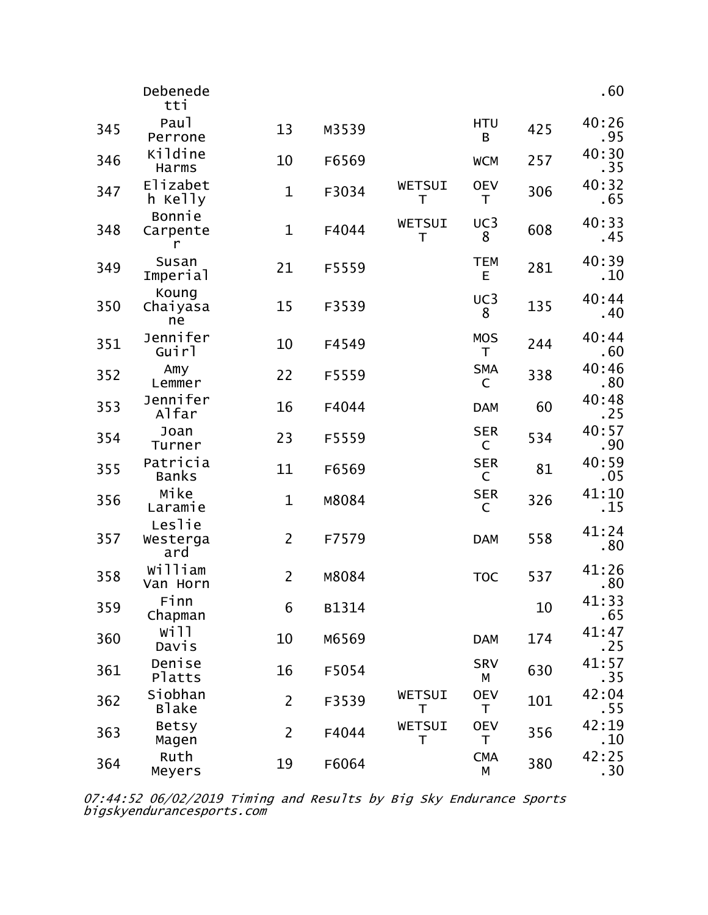|     | Debenede<br>tti             |                |       |             |                            |     | .60           |
|-----|-----------------------------|----------------|-------|-------------|----------------------------|-----|---------------|
| 345 | Pau <sub>1</sub><br>Perrone | 13             | M3539 |             | <b>HTU</b><br>B            | 425 | 40:26<br>.95  |
| 346 | Kildine<br>Harms            | 10             | F6569 |             | <b>WCM</b>                 | 257 | 40:30<br>.35  |
| 347 | Elizabet<br>h Kelly         | $\mathbf{1}$   | F3034 | WETSUI<br>T | <b>OEV</b><br>T            | 306 | 40:32<br>.65  |
| 348 | Bonnie<br>Carpente<br>r     | $\mathbf{1}$   | F4044 | WETSUI<br>T | UC3<br>8                   | 608 | 40:33<br>.45  |
| 349 | Susan<br>Imperial           | 21             | F5559 |             | <b>TEM</b><br>E            | 281 | 40:39<br>.10  |
| 350 | Koung<br>Chaiyasa<br>ne     | 15             | F3539 |             | UC3<br>8                   | 135 | 40:44<br>.40  |
| 351 | Jennifer<br>Guirl           | 10             | F4549 |             | <b>MOS</b><br>T            | 244 | 40:44<br>.60  |
| 352 | Amy<br>Lemmer               | 22             | F5559 |             | <b>SMA</b><br>C            | 338 | 40:46<br>.80  |
| 353 | Jennifer<br>Alfar           | 16             | F4044 |             | <b>DAM</b>                 | 60  | 40:48<br>.25  |
| 354 | Joan<br>Turner              | 23             | F5559 |             | <b>SER</b><br>$\mathsf{C}$ | 534 | 40:57<br>.90  |
| 355 | Patricia<br><b>Banks</b>    | 11             | F6569 |             | <b>SER</b><br>$\mathsf{C}$ | 81  | 40:59<br>.05  |
| 356 | Mike<br>Laramie             | $\mathbf{1}$   | M8084 |             | <b>SER</b><br>C            | 326 | 41:10<br>. 15 |
| 357 | Leslie<br>Westerga<br>ard   | $\overline{2}$ | F7579 |             | <b>DAM</b>                 | 558 | 41:24<br>.80  |
| 358 | William<br>Van Horn         | $\overline{2}$ | M8084 |             | <b>TOC</b>                 | 537 | 41:26<br>.80  |
| 359 | Finn<br>Chapman             | 6              | B1314 |             |                            | 10  | 41:33<br>.65  |
| 360 | will<br>Davis               | 10             | M6569 |             | <b>DAM</b>                 | 174 | 41:47<br>.25  |
| 361 | Denise<br>Platts            | 16             | F5054 |             | <b>SRV</b><br>М            | 630 | 41:57<br>. 35 |
| 362 | Siobhan<br><b>Blake</b>     | $\overline{2}$ | F3539 | WETSUI<br>Τ | <b>OEV</b><br>T.           | 101 | 42:04<br>. 55 |
| 363 | <b>Betsy</b><br>Magen       | $\overline{2}$ | F4044 | WETSUI<br>T | <b>OEV</b><br>T.           | 356 | 42:19<br>. 10 |
| 364 | Ruth<br>Meyers              | 19             | F6064 |             | <b>CMA</b><br>М            | 380 | 42:25<br>.30  |

<sup>07:44:52 06/02/2019</sup> Timing and Results by Big Sky Endurance Sports bigskyendurancesports.com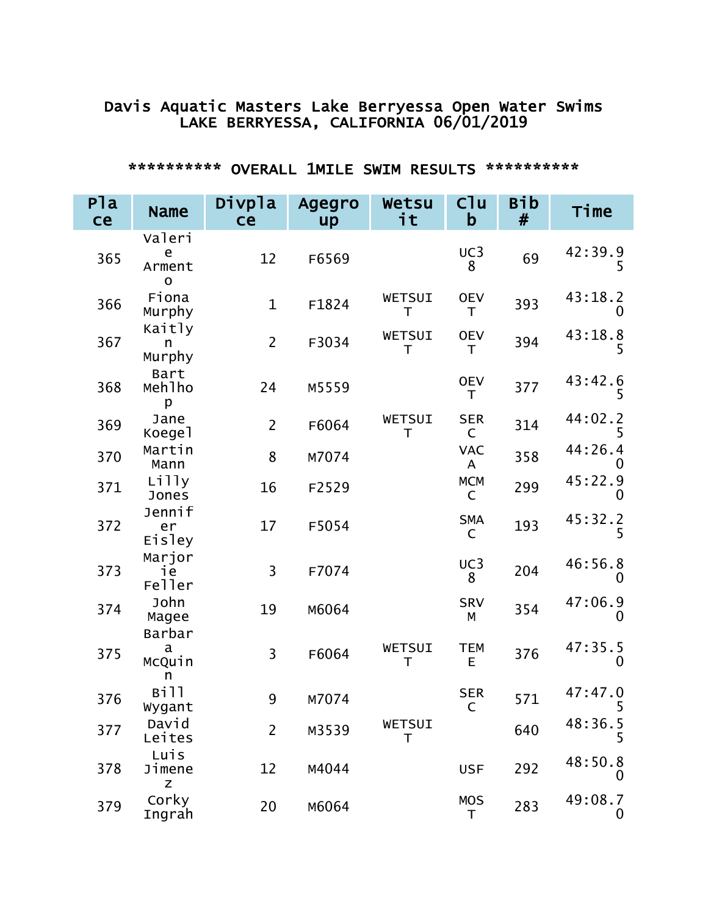# Davis Aquatic Masters Lake Berryessa Open Water Swims<br>LAKE BERRYESSA, CALIFORNIA 06/01/2019

| <b>Pla</b><br>ce | <b>Name</b>                      | Divpla<br>ce   | Agegro<br>up | Wetsu<br>it | C1u<br>$\mathsf{b}$        | Bib<br># | Time                    |
|------------------|----------------------------------|----------------|--------------|-------------|----------------------------|----------|-------------------------|
| 365              | Valeri<br>e<br>Arment<br>O       | 12             | F6569        |             | UC3<br>8                   | 69       | 42:39.9<br>5            |
| 366              | Fiona<br>Murphy                  | $\mathbf{1}$   | F1824        | WETSUI<br>T | <b>OEV</b><br>т            | 393      | 43:18.2                 |
| 367              | Kaitly<br>n<br>Murphy            | $\overline{2}$ | F3034        | WETSUI<br>т | <b>OEV</b><br>Τ            | 394      | 43:18.8<br>5            |
| 368              | Bart<br>Meh <sub>1</sub> ho<br>p | 24             | M5559        |             | <b>OEV</b><br>Т            | 377      | 43:42.6<br>5            |
| 369              | Jane<br>Koege1                   | $\overline{2}$ | F6064        | WETSUI<br>Τ | <b>SER</b><br>$\mathsf{C}$ | 314      | 44:02.2<br>5            |
| 370              | Martin<br>Mann                   | 8              | M7074        |             | <b>VAC</b><br>$\mathsf{A}$ | 358      | 44:26.4                 |
| 371              | Lilly<br>Jones                   | 16             | F2529        |             | <b>MCM</b><br>$\mathsf{C}$ | 299      | 45:22.9<br>0            |
| 372              | Jennif<br>er<br>Eisley           | 17             | F5054        |             | <b>SMA</b><br>C            | 193      | 45:32.2<br>5            |
| 373              | Marjor<br>iе<br>Feller           | 3              | F7074        |             | UC3<br>8                   | 204      | 46:56.8<br>$\mathbf{0}$ |
| 374              | John<br>Magee                    | 19             | M6064        |             | <b>SRV</b><br>М            | 354      | 47:06.9<br>0            |
| 375              | Barbar<br>a<br>McQuin<br>n       | 3              | F6064        | WETSUI<br>т | <b>TEM</b><br>Е            | 376      | 47:35.5<br>O            |
| 376              | Bill<br>Wygant                   | 9              | M7074        |             | <b>SER</b><br>C            | 571      | 47:47.0                 |
| 377              | David<br>Leites                  | $\overline{2}$ | M3539        | WETSUI<br>Т |                            | 640      | 48:36.5<br>5            |
| 378              | Luis<br>Jimene<br>Z              | 12             | M4044        |             | <b>USF</b>                 | 292      | 48:50.8<br>U            |
| 379              | Corky<br>Ingrah                  | 20             | M6064        |             | <b>MOS</b><br>T            | 283      | 49:08.7<br>$\bf{0}$     |